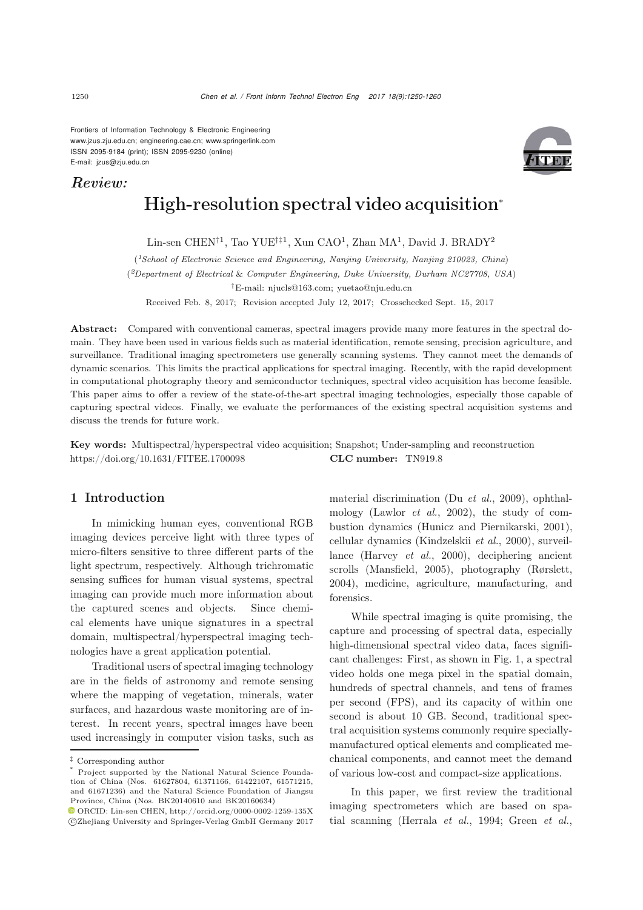Frontiers of Information Technology & Electronic Engineering www.jzus.zju.edu.cn; engineering.cae.cn; www.springerlink.com ISSN 2095-9184 (print); ISSN 2095-9230 (online) E-mail: jzus@zju.edu.cn

# *Review:*



# High-resolution spectral video acquisition<sup>∗</sup>

Lin-sen CHEN<sup>†1</sup>, Tao YUE<sup>†‡1</sup>, Xun CAO<sup>1</sup>, Zhan MA<sup>1</sup>, David J. BRADY<sup>2</sup>

(*1School of Electronic Science and Engineering, Nanjing University, Nanjing 210023, China*)

(*2Department of Electrical* & *Computer Engineering, Duke University, Durham NC27708, USA*)

*†*E-mail: njucls@163.com; yuetao@nju.edu.cn

Received Feb. 8, 2017; Revision accepted July 12, 2017; Crosschecked Sept. 15, 2017

Abstract: Compared with conventional cameras, spectral imagers provide many more features in the spectral domain. They have been used in various fields such as material identification, remote sensing, precision agriculture, and surveillance. Traditional imaging spectrometers use generally scanning systems. They cannot meet the demands of dynamic scenarios. This limits the practical applications for spectral imaging. Recently, with the rapid development in computational photography theory and semiconductor techniques, spectral video acquisition has become feasible. This paper aims to offer a review of the state-of-the-art spectral imaging technologies, especially those capable of capturing spectral videos. Finally, we evaluate the performances of the existing spectral acquisition systems and discuss the trends for future work.

Key words: Multispectral/hyperspectral video acquisition; Snapshot; Under-sampling and reconstruction https://doi.org/10.1631/FITEE.1700098 CLC number: TN919.8

### 1 Introduction

In mimicking human eyes, conventional RGB imaging devices perceive light with three types of micro-filters sensitive to three different parts of the light spectrum, respectively. Although trichromatic sensing suffices for human visual systems, spectral imaging can provide much more information about the captured scenes and objects. Since chemical elements have unique signatures in a spectral domain, multispectral/hyperspectral imaging technologies have a great application potential.

Traditional users of spectral imaging technology are in the fields of astronomy and remote sensing where the mapping of vegetation, minerals, water surfaces, and hazardous waste monitoring are of interest. In recent years, spectral images have been used increasingly in computer vision tasks, such as material discrimination (Du *[et al.](#page-9-0)*, [2009\)](#page-9-0), ophthalmology [\(Lawlor](#page-9-1) *et al.*, [2002\)](#page-9-1), the study of combustion dynamics [\(Hunicz and Piernikarski, 2001\)](#page-9-2), cellular dynamics [\(Kindzelskii](#page-9-3) *et al.*, [2000](#page-9-3)), surveillance [\(Harvey](#page-9-4) *et al.*, [2000\)](#page-9-4), deciphering ancient scrolls [\(Mansfield](#page-9-5), [2005](#page-9-5)), photography [\(Rørslett](#page-10-0), [2004](#page-10-0)), medicine, agriculture, manufacturing, and forensics.

While spectral imaging is quite promising, the capture and processing of spectral data, especially high-dimensional spectral video data, faces significant challenges: First, as shown in Fig. [1,](#page-1-0) a spectral video holds one mega pixel in the spatial domain, hundreds of spectral channels, and tens of frames per second (FPS), and its capacity of within one second is about 10 GB. Second, traditional spectral acquisition systems commonly require speciallymanufactured optical elements and complicated mechanical components, and cannot meet the demand of various low-cost and compact-size applications.

In this paper, we first review the traditional imaging spectrometers which are based on spatial scanning [\(Herrala](#page-9-6) *et al.*, [1994](#page-9-6); [Green](#page-9-7) *et al.*,

*<sup>‡</sup>* Corresponding author

Project supported by the National Natural Science Foundation of China (Nos. 61627804, 61371166, 61422107, 61571215, and 61671236) and the Natural Science Foundation of Jiangsu Province, China (Nos. BK20140610 and BK20160634)

 $\textcolor{blue}{\bullet}$  ORCID: Lin-sen CHEN, http://orcid.org/0000-0002-1259-135X c Zhejiang University and Springer-Verlag GmbH Germany 2017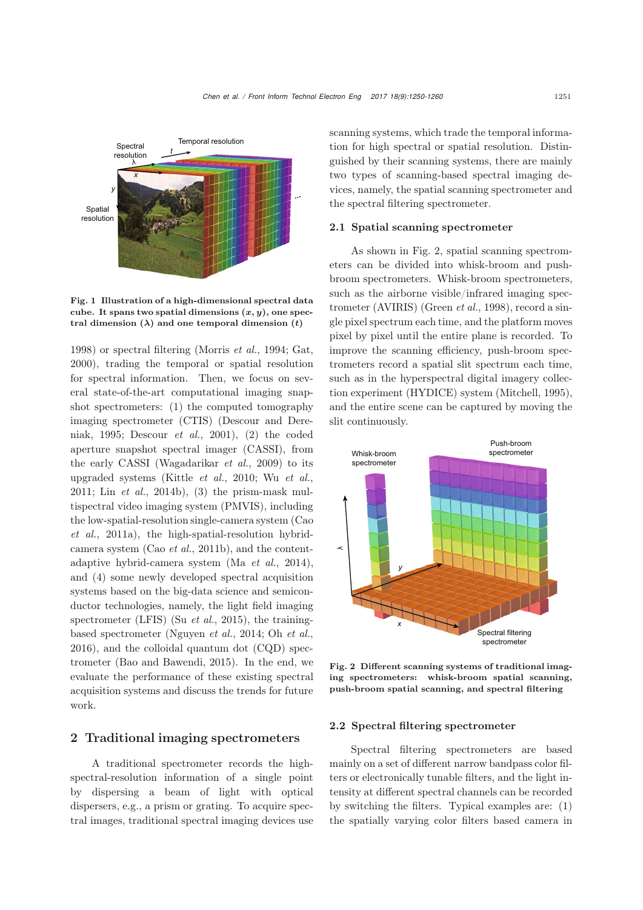

<span id="page-1-0"></span>Fig. 1 Illustration of a high-dimensional spectral data cube. It spans two spatial dimensions (*x, y*), one spectral dimension  $(\lambda)$  and one temporal dimension  $(t)$ 

[1998](#page-9-7)) or spectral filtering [\(Morris](#page-10-1) *et al.*, [1994;](#page-10-1) [Gat](#page-9-8), [2000](#page-9-8)), trading the temporal or spatial resolution for spectral information. Then, we focus on several state-of-the-art computational imaging snapshot spectrometers: (1) the computed tomography ima[ging](#page-9-9) [spectrometer](#page-9-9) [\(CTIS\)](#page-9-9) [\(](#page-9-9)Descour and Dereniak, [1995](#page-9-9); [Descour](#page-9-10) *et al.*, [2001](#page-9-10)), (2) the coded aperture snapshot spectral imager (CASSI), from the early CASSI [\(Wagadarikar](#page-10-2) *et al.*, [2009\)](#page-10-2) to its upgraded systems [\(Kittle](#page-9-11) *et al.*, [2010;](#page-9-11) Wu *[et al.](#page-10-3)*, [2011](#page-10-3); Lin *[et al.](#page-9-12)*, [2014b](#page-9-12)), (3) the prism-mask multispectral video imaging system (PMVIS), including the lo[w-spatial-resolution](#page-9-13) [single-camera](#page-9-13) [system](#page-9-13) [\(](#page-9-13)Cao *et al.*, [2011a](#page-9-13)), the high-spatial-resolution hybridcamera system (Cao *[et al.](#page-9-14)*, [2011b](#page-9-14)), and the contentadaptive hybrid-camera system (Ma *[et al.](#page-9-15)*, [2014\)](#page-9-15), and (4) some newly developed spectral acquisition systems based on the big-data science and semiconductor technologies, namely, the light field imaging spectrometer (LFIS) (Su *[et al.](#page-10-4)*, [2015](#page-10-4)), the trainingbased spectrometer [\(Nguyen](#page-10-5) *et al.*, [2014](#page-10-5); Oh *[et al.](#page-10-6)*, [2016](#page-10-6)), and the colloidal quantum dot (CQD) spectrometer [\(Bao and Bawendi, 2015](#page-9-16)). In the end, we evaluate the performance of these existing spectral acquisition systems and discuss the trends for future work.

# 2 Traditional imaging spectrometers

A traditional spectrometer records the highspectral-resolution information of a single point by dispersing a beam of light with optical dispersers, e.g., a prism or grating. To acquire spectral images, traditional spectral imaging devices use scanning systems, which trade the temporal information for high spectral or spatial resolution. Distinguished by their scanning systems, there are mainly two types of scanning-based spectral imaging devices, namely, the spatial scanning spectrometer and the spectral filtering spectrometer.

#### 2.1 Spatial scanning spectrometer

As shown in Fig. [2,](#page-1-1) spatial scanning spectrometers can be divided into whisk-broom and pushbroom spectrometers. Whisk-broom spectrometers, such as the airborne visible/infrared imaging spectrometer (AVIRIS) [\(Green](#page-9-7) *et al.*, [1998](#page-9-7)), record a single pixel spectrum each time, and the platform moves pixel by pixel until the entire plane is recorded. To improve the scanning efficiency, push-broom spectrometers record a spatial slit spectrum each time, such as in the hyperspectral digital imagery collection experiment (HYDICE) system [\(Mitchell](#page-9-17), [1995\)](#page-9-17), and the entire scene can be captured by moving the slit continuously.



<span id="page-1-1"></span>Fig. 2 Different scanning systems of traditional imaging spectrometers: whisk-broom spatial scanning, push-broom spatial scanning, and spectral filtering

#### 2.2 Spectral filtering spectrometer

Spectral filtering spectrometers are based mainly on a set of different narrow bandpass color filters or electronically tunable filters, and the light intensity at different spectral channels can be recorded by switching the filters. Typical examples are: (1) the spatially varying color filters based camera in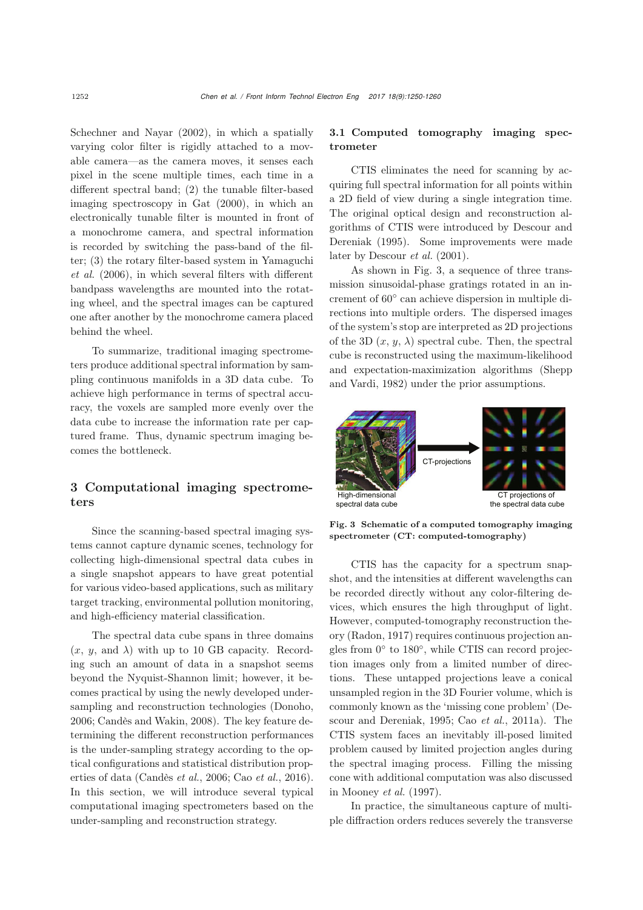[Schechner and Nayar](#page-10-7) [\(2002\)](#page-10-7), in which a spatially varying color filter is rigidly attached to a movable camera—as the camera moves, it senses each pixel in the scene multiple times, each time in a different spectral band; (2) the tunable filter-based imaging spectroscopy in [Gat](#page-9-8) [\(2000](#page-9-8)), in which an electronically tunable filter is mounted in front of a monochrome camera, and spectral information is recorded by switching the pass-band of the filter; ([3\)](#page-10-8) [the](#page-10-8) [rotary](#page-10-8) [filter-based](#page-10-8) [system](#page-10-8) [in](#page-10-8) Yamaguchi *et al.* [\(2006\)](#page-10-8), in which several filters with different bandpass wavelengths are mounted into the rotating wheel, and the spectral images can be captured one after another by the monochrome camera placed behind the wheel.

To summarize, traditional imaging spectrometers produce additional spectral information by sampling continuous manifolds in a 3D data cube. To achieve high performance in terms of spectral accuracy, the voxels are sampled more evenly over the data cube to increase the information rate per captured frame. Thus, dynamic spectrum imaging becomes the bottleneck.

# 3 Computational imaging spectrometers

Since the scanning-based spectral imaging systems cannot capture dynamic scenes, technology for collecting high-dimensional spectral data cubes in a single snapshot appears to have great potential for various video-based applications, such as military target tracking, environmental pollution monitoring, and high-efficiency material classification.

The spectral data cube spans in three domains  $(x, y, \text{ and } \lambda)$  with up to 10 GB capacity. Recording such an amount of data in a snapshot seems beyond the Nyquist-Shannon limit; however, it becomes practical by using the newly developed undersampling and reconstruction technologies [\(Donoho,](#page-9-18) [2006](#page-9-18); [Candès and Wakin](#page-9-19), [2008\)](#page-9-19). The key feature determining the different reconstruction performances is the under-sampling strategy according to the optical configurations and statistical distribution properties of data [\(Candès](#page-9-20) *et al.*, [2006;](#page-9-20) Cao *[et al.](#page-9-21)*, [2016\)](#page-9-21). In this section, we will introduce several typical computational imaging spectrometers based on the under-sampling and reconstruction strategy.

## 3.1 Computed tomography imaging spectrometer

CTIS eliminates the need for scanning by acquiring full spectral information for all points within a 2D field of view during a single integration time. The original optical design and reconstruction algorithms [of](#page-9-9) [CTIS](#page-9-9) [were](#page-9-9) [introduced](#page-9-9) [by](#page-9-9) Descour and Dereniak [\(1995\)](#page-9-9). Some improvements were made later by [Descour](#page-9-10) *et al.* [\(2001\)](#page-9-10).

As shown in Fig. [3,](#page-2-0) a sequence of three transmission sinusoidal-phase gratings rotated in an increment of 60◦ can achieve dispersion in multiple directions into multiple orders. The dispersed images of the system's stop are interpreted as 2D projections of the 3D  $(x, y, \lambda)$  spectral cube. Then, the spectral cube is reconstructed using the maximum-likelihood and expe[ctation-maximization](#page-10-9) [algorithms](#page-10-9) [\(](#page-10-9)Shepp and Vardi, [1982\)](#page-10-9) under the prior assumptions.



<span id="page-2-0"></span>Fig. 3 Schematic of a computed tomography imaging spectrometer (CT: computed-tomography)

CTIS has the capacity for a spectrum snapshot, and the intensities at different wavelengths can be recorded directly without any color-filtering devices, which ensures the high throughput of light. However, computed-tomography reconstruction theory [\(Radon, 1917\)](#page-10-10) requires continuous projection angles from 0◦ to 180◦, while CTIS can record projection images only from a limited number of directions. These untapped projections leave a conical unsampled region in the 3D Fourier volume, which is commonly known a[s](#page-9-9) [the](#page-9-9) ['missing](#page-9-9) [cone](#page-9-9) [problem'](#page-9-9) [\(](#page-9-9)Descour and Dereniak, [1995;](#page-9-9) Cao *[et al.](#page-9-13)*, [2011a\)](#page-9-13). The CTIS system faces an inevitably ill-posed limited problem caused by limited projection angles during the spectral imaging process. Filling the missing cone with additional computation was also discussed in [Mooney](#page-9-22) *et al.* [\(1997](#page-9-22)).

In practice, the simultaneous capture of multiple diffraction orders reduces severely the transverse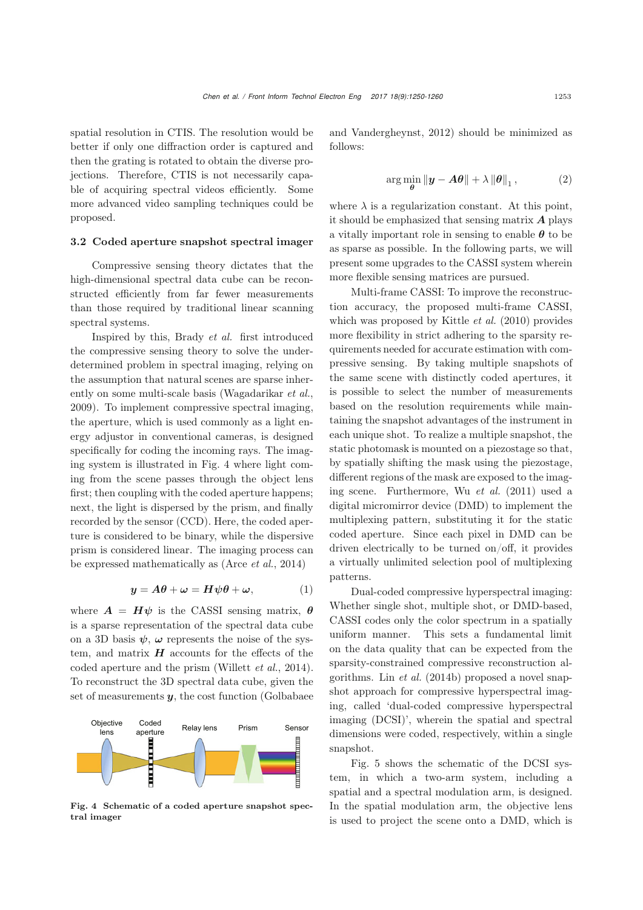spatial resolution in CTIS. The resolution would be better if only one diffraction order is captured and then the grating is rotated to obtain the diverse projections. Therefore, CTIS is not necessarily capable of acquiring spectral videos efficiently. Some more advanced video sampling techniques could be proposed.

#### 3.2 C[oded aperture snapshot spectral imager](#page-9-23)

Compressive sensing theory dictates that the high-dimensional spectral data cube can be reconstructed efficiently from far fewer measurements than those required by traditional linear scanning spectral systems.

Inspired by this, Brady *et al.* first introduced the compressive sensing theory to solve the underdetermined problem in spectral imaging, relying on the assumption that natural scenes are sparse inherently on some multi-scale basis [\(Wagadarikar](#page-10-2) *et al.*, [2009](#page-10-2)). To implement compressive spectral imaging, the aperture, which is used commonly as a light energy adjustor in conventional cameras, is designed specifically for coding the incoming rays. The imaging system is illustrated in Fig. [4](#page-3-0) where light coming from the scene passes through the object lens first; then coupling with the coded aperture happens; next, the light is dispersed by the prism, and finally recorded by the sensor (CCD). Here, the coded aperture is considered to be binary, while the dispersive prism is considered linear. The imaging process can be expressed mathematically as [\(Arce](#page-8-0) *et al.*, [2014](#page-8-0))

$$
y = A\theta + \omega = H\psi\theta + \omega, \qquad (1)
$$

where  $\mathbf{A} = \mathbf{H}\psi$  is the CASSI sensing matrix,  $\boldsymbol{\theta}$ is a sparse representation of the spectral data cube on a 3D basis  $\psi$ ,  $\omega$  represents the noise of the system, and matrix  $H$  accounts for the effects of the coded aperture and the prism [\(Willett](#page-10-11) *et al.*, [2014\)](#page-10-11). To reconstruct the 3D spectral data cube, given the set of measurements *y*, the cost function (Golbabaee



<span id="page-3-0"></span>Fig. 4 Schematic of a coded aperture snapshot spectral imager

and Vandergheynst, [2012](#page-9-23)) should be minimized as follows:

$$
\arg\min_{\boldsymbol{\theta}} \|\boldsymbol{y} - \boldsymbol{A}\boldsymbol{\theta}\| + \lambda \|\boldsymbol{\theta}\|_1, \tag{2}
$$

where  $\lambda$  is a regularization constant. At this point, it should be emphasized that sensing matrix *A* plays a vitally important role in sensing to enable *θ* to be as sparse as possible. In the following parts, we will present some upgrades to the CASSI system wherein more flexible sensing matrices are pursued.

Multi-frame CASSI: To improve the reconstruction accuracy, the proposed multi-frame CASSI, which was proposed by [Kittle](#page-9-11) *et al.* [\(2010](#page-9-11)) provides more flexibility in strict adhering to the sparsity requirements needed for accurate estimation with compressive sensing. By taking multiple snapshots of the same scene with distinctly coded apertures, it is possible to select the number of measurements based on the resolution requirements while maintaining the snapshot advantages of the instrument in each unique shot. To realize a multiple snapshot, the static photomask is mounted on a piezostage so that, by spatially shifting the mask using the piezostage, different regions of the mask are exposed to the imaging scene. Furthermore, Wu *[et al.](#page-10-3)* [\(2011](#page-10-3)) used a digital micromirror device (DMD) to implement the multiplexing pattern, substituting it for the static coded aperture. Since each pixel in DMD can be driven electrically to be turned on/off, it provides a virtually unlimited selection pool of multiplexing patterns.

Dual-coded compressive hyperspectral imaging: Whether single shot, multiple shot, or DMD-based, CASSI codes only the color spectrum in a spatially uniform manner. This sets a fundamental limit on the data quality that can be expected from the sparsity-constrained compressive reconstruction algorithms. Lin *[et al.](#page-9-12)* [\(2014b](#page-9-12)) proposed a novel snapshot approach for compressive hyperspectral imaging, called 'dual-coded compressive hyperspectral imaging (DCSI)', wherein the spatial and spectral dimensions were coded, respectively, within a single snapshot.

Fig. [5](#page-4-0) shows the schematic of the DCSI system, in which a two-arm system, including a spatial and a spectral modulation arm, is designed. In the spatial modulation arm, the objective lens is used to project the scene onto a DMD, which is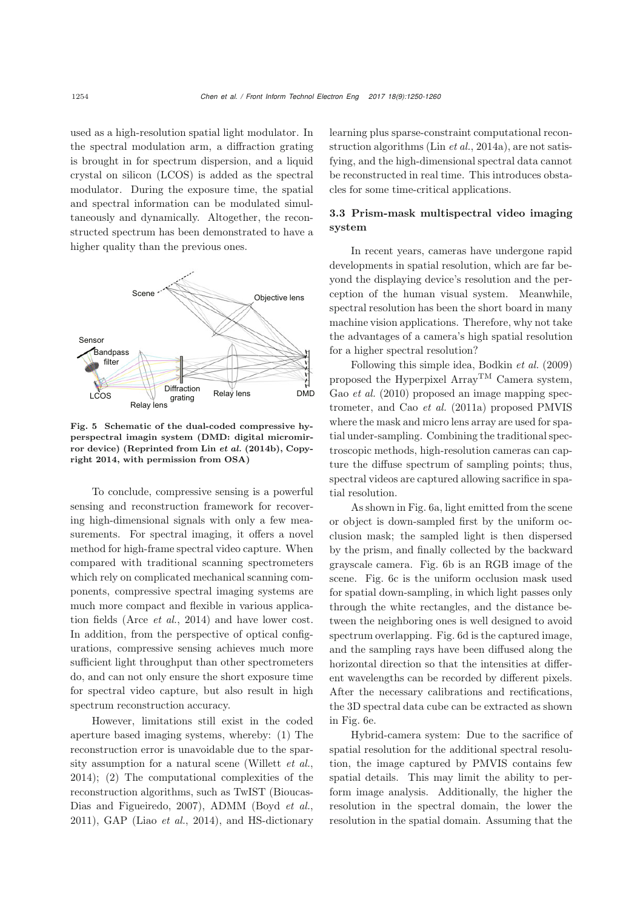used as a high-resolution spatial light modulator. In the spectral modulation arm, a diffraction grating is brought in for spectrum dispersion, and a liquid crystal on silicon (LCOS) is added as the spectral modulator. During the exposure time, the spatial and spectral information can be modulated simultaneously and dynamically. Altogether, the reconstructed spectrum has been demonstrated to have a higher quality than the previous ones.



<span id="page-4-0"></span>Fig. 5 Schematic of the dual-coded compressive hyperspectral imagin system (DMD: digital micromirror device) (Reprinted from Lin *[et al.](#page-9-12)* [\(2014b\)](#page-9-12), Copyright 2014, with permission from OSA)

To conclude, compressive sensing is a powerful sensing and reconstruction framework for recovering high-dimensional signals with only a few measurements. For spectral imaging, it offers a novel method for high-frame spectral video capture. When compared with traditional scanning spectrometers which rely on complicated mechanical scanning components, compressive spectral imaging systems are much more compact and flexible in various application fields (Arce *[et al.](#page-8-0)*, [2014](#page-8-0)) and have lower cost. In addition, from the perspective of optical configurations, compressive sensing achieves much more sufficient light throughput than other spectrometers do, and can not only ensure the short exposure time for spectral video capture, but also result in high spectrum reconstruction accuracy.

However, limitations still exist in the coded aperture based imaging systems, whereby: (1) The reconstruction error is unavoidable due to the sparsity assumption for a natural scene [\(Willett](#page-10-11) *et al.*, [2014](#page-10-11)); (2) The computational complexities of the reconstruction algori[thms,](#page-9-24) [such](#page-9-24) [as](#page-9-24) [TwIST](#page-9-24) [\(](#page-9-24)Bioucas-Dias and Figueiredo, [2007](#page-9-24)), ADMM [\(Boyd](#page-9-25) *et al.*, [2011](#page-9-25)), GAP (Liao *[et al.](#page-9-26)*, [2014\)](#page-9-26), and HS-dictionary

learning plus sparse-constraint computational reconstruction algorithms (Lin *[et al.](#page-9-27)*, [2014a](#page-9-27)), are not satisfying, and the high-dimensional spectral data cannot be reconstructed in real time. This introduces obstacles for some time-critical applications.

## 3.3 Prism-mask multispectral video imaging system

In recent years, cameras have undergone rapid developments in spatial resolution, which are far beyond the displaying device's resolution and the perception of the human visual system. Meanwhile, spectral resolution has been the short board in many machine vision applications. Therefore, why not take the advantages of a camera's high spatial resolution for a higher spectral resolution?

Following this simple idea, [Bodkin](#page-9-28) *et al.* [\(2009](#page-9-28)) proposed the Hyperpixel  $Array^{TM}$  Camera system, Gao *[et al.](#page-9-29)* [\(2010](#page-9-29)) proposed an image mapping spectrometer, and Cao *[et al.](#page-9-13)* [\(2011a\)](#page-9-13) proposed PMVIS where the mask and micro lens array are used for spatial under-sampling. Combining the traditional spectroscopic methods, high-resolution cameras can capture the diffuse spectrum of sampling points; thus, spectral videos are captured allowing sacrifice in spatial resolution.

As shown in Fig. [6a](#page-5-0), light emitted from the scene or object is down-sampled first by the uniform occlusion mask; the sampled light is then dispersed by the prism, and finally collected by the backward grayscale camera. Fig. [6b](#page-5-0) is an RGB image of the scene. Fig. [6c](#page-5-0) is the uniform occlusion mask used for spatial down-sampling, in which light passes only through the white rectangles, and the distance between the neighboring ones is well designed to avoid spectrum overlapping. Fig. [6d](#page-5-0) is the captured image, and the sampling rays have been diffused along the horizontal direction so that the intensities at different wavelengths can be recorded by different pixels. After the necessary calibrations and rectifications, the 3D spectral data cube can be extracted as shown in Fig. [6e](#page-5-0).

Hybrid-camera system: Due to the sacrifice of spatial resolution for the additional spectral resolution, the image captured by PMVIS contains few spatial details. This may limit the ability to perform image analysis. Additionally, the higher the resolution in the spectral domain, the lower the resolution in the spatial domain. Assuming that the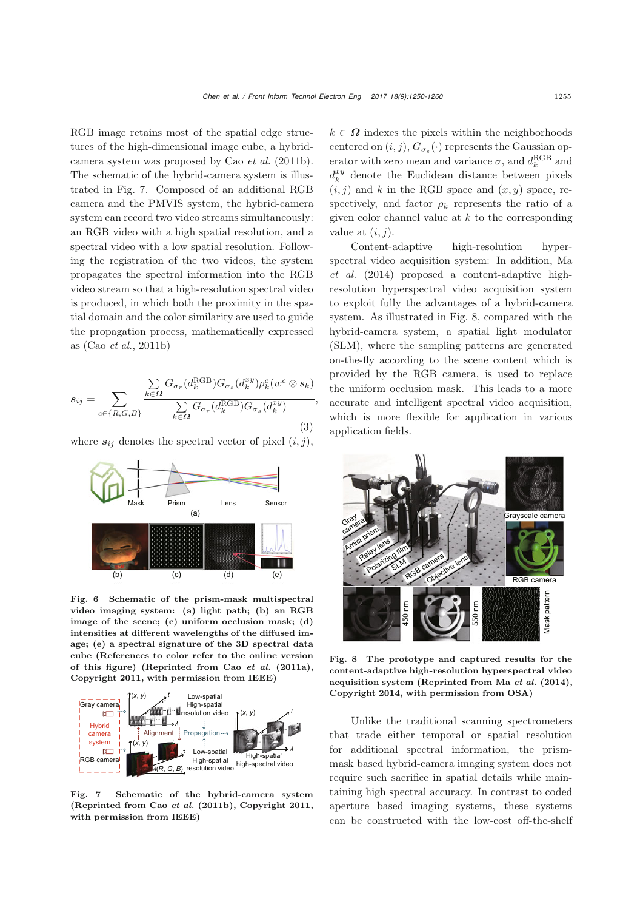RGB image retains most of the spatial edge structures of the high-dimensional image cube, a hybridcamera system was proposed by Cao *[et al.](#page-9-14)* [\(2011b\)](#page-9-14). The schematic of the hybrid-camera system is illustrated in Fig. [7.](#page-5-1) Composed of an additional RGB camera and the PMVIS system, the hybrid-camera system can record two video streams simultaneously: an RGB video with a high spatial resolution, and a spectral video with a low spatial resolution. Following the registration of the two videos, the system propagates the spectral information into the RGB video stream so that a high-resolution spectral video is produced, in which both the proximity in the spatial domain and the color similarity are used to guide the propagation process, mathematically expressed as (Cao *[et al.](#page-9-14)*, [2011b](#page-9-14))

$$
s_{ij} = \sum_{c \in \{R, G, B\}} \frac{\sum_{k \in \Omega} G_{\sigma_r}(d_k^{\text{RGB}}) G_{\sigma_s}(d_k^{xy}) \rho_k^c(w^c \otimes s_k)}{\sum_{k \in \Omega} G_{\sigma_r}(d_k^{\text{RGB}}) G_{\sigma_s}(d_k^{xy})},
$$
\n(3)

where  $s_{ij}$  denotes the spectral vector of pixel  $(i, j)$ ,



<span id="page-5-0"></span>Fig. 6 Schematic of the prism-mask multispectral video imaging system: (a) light path; (b) an RGB image of the scene; (c) uniform occlusion mask; (d) intensities at different wavelengths of the diffused image; (e) a spectral signature of the 3D spectral data cube (References to color refer to the online version of this figure) (Reprinted from Cao *[et al.](#page-9-13)* [\(2011a\)](#page-9-13), Copyright 2011, with permission from IEEE)



<span id="page-5-1"></span>Fig. 7 Schematic of the hybrid-camera system (Reprinted from Cao *[et al.](#page-9-14)* [\(2011b](#page-9-14)), Copyright 2011, with permission from IEEE)

 $k \in \Omega$  indexes the pixels within the neighborhoods centered on  $(i, j)$ ,  $G_{\sigma_s}(\cdot)$  represents the Gaussian operator with zero mean and variance  $\sigma$ , and  $d_k^{\rm RGB}$  and  $d_k^{xy}$  denote the Euclidean distance between pixels  $(i, j)$  and k in the RGB space and  $(x, y)$  space, respectively, and factor  $\rho_k$  represents the ratio of a given color channel value at  $k$  to the corresponding value at  $(i, j)$ .

Content-adaptive high-resolution hyperspect[ral](#page-9-15) [video](#page-9-15) [acquisition](#page-9-15) [system:](#page-9-15) [In](#page-9-15) [addition,](#page-9-15) Ma *et al.* [\(2014](#page-9-15)) proposed a content-adaptive highresolution hyperspectral video acquisition system to exploit fully the advantages of a hybrid-camera system. As illustrated in Fig. [8,](#page-5-2) compared with the hybrid-camera system, a spatial light modulator (SLM), where the sampling patterns are generated on-the-fly according to the scene content which is provided by the RGB camera, is used to replace the uniform occlusion mask. This leads to a more accurate and intelligent spectral video acquisition, which is more flexible for application in various application fields.



<span id="page-5-2"></span>Fig. 8 The prototype and captured results for the content-adaptive high-resolution hyperspectral video acquisition system (Reprinted from Ma *[et al.](#page-9-15)* [\(2014\)](#page-9-15), Copyright 2014, with permission from OSA)

Unlike the traditional scanning spectrometers that trade either temporal or spatial resolution for additional spectral information, the prismmask based hybrid-camera imaging system does not require such sacrifice in spatial details while maintaining high spectral accuracy. In contrast to coded aperture based imaging systems, these systems can be constructed with the low-cost off-the-shelf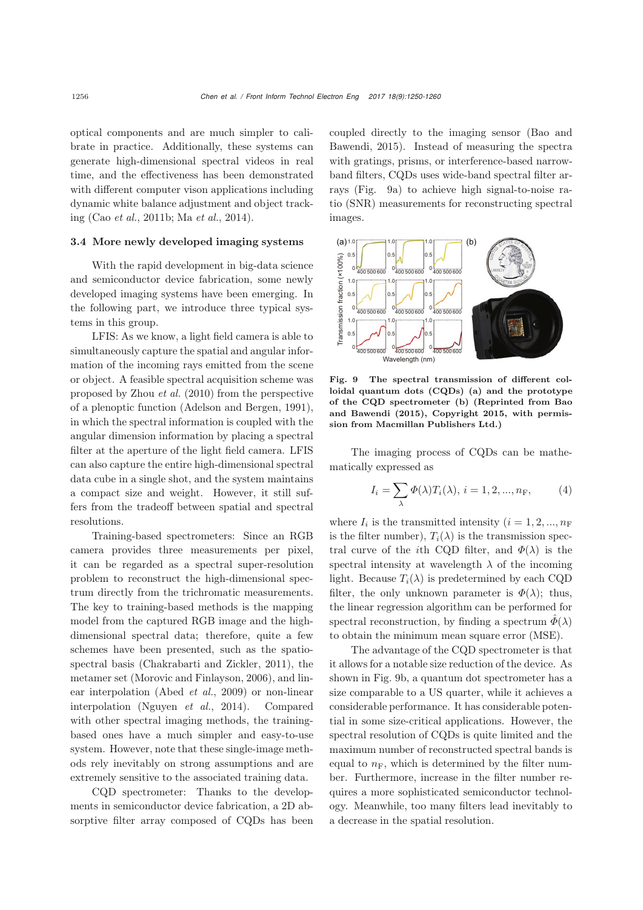optical components and are much simpler to calibrate in practice. Additionally, these systems can generate high-dimensional spectral videos in real time, and the effectiveness has been demonstrated with different computer vison applications including dynamic white balance adjustment and object tracking (Cao *[et al.](#page-9-14)*, [2011b;](#page-9-14) Ma *[et al.](#page-9-15)*, [2014\)](#page-9-15).

#### 3.4 More newly developed imaging systems

With the rapid development in big-data science and semiconductor device fabrication, some newly developed imaging systems have been emerging. In the following part, we introduce three typical systems in this group.

LFIS: As we know, a light field camera is able to simultaneously capture the spatial and angular information of the incoming rays emitted from the scene or object. A feasible spectral acquisition scheme was proposed by [Zhou](#page-10-12) *et al.* [\(2010\)](#page-10-12) from the perspective of a plenoptic function [\(Adelson and Bergen, 1991\)](#page-8-1), in which the spectral information is coupled with the angular dimension information by placing a spectral filter at the aperture of the light field camera. LFIS can also capture the entire high-dimensional spectral data cube in a single shot, and the system maintains a compact size and weight. However, it still suffers from the tradeoff between spatial and spectral resolutions.

Training-based spectrometers: Since an RGB camera provides three measurements per pixel, it can be regarded as a spectral super-resolution problem to reconstruct the high-dimensional spectrum directly from the trichromatic measurements. The key to training-based methods is the mapping model from the captured RGB image and the highdimensional spectral data; therefore, quite a few schemes have been presented, such as the spatiospectral basis [\(Chakrabarti and Zickler, 2011\)](#page-9-30), the metamer set [\(Morovic and Finlayson](#page-10-13), [2006](#page-10-13)), and linear interpolation [\(Abed](#page-8-2) *et al.*, [2009](#page-8-2)) or non-linear interpolation [\(Nguyen](#page-10-5) *et al.*, [2014\)](#page-10-5). Compared with other spectral imaging methods, the trainingbased ones have a much simpler and easy-to-use system. However, note that these single-image methods rely inevitably on strong assumptions and are extremely sensitive to the associated training data.

CQD spectrometer: Thanks to the developments in semiconductor device fabrication, a 2D absorptive filter array composed of CQDs has been coupled [directly](#page-9-16) [to](#page-9-16) [the](#page-9-16) [imaging](#page-9-16) [sensor](#page-9-16) [\(](#page-9-16)Bao and Bawendi, [2015](#page-9-16)). Instead of measuring the spectra with gratings, prisms, or interference-based narrowband filters, CQDs uses wide-band spectral filter arrays (Fig. [9a](#page-6-0)) to achieve high signal-to-noise ratio (SNR) measurements for reconstructing spectral images.



<span id="page-6-0"></span>Fig. 9 The spectral transmission of different colloidal quantum dots (CQDs) (a) and the prototype of the CQD [spectrometer](#page-9-16) [\(b\)](#page-9-16) [\(Reprinted](#page-9-16) [from](#page-9-16) Bao and Bawendi [\(2015](#page-9-16)), Copyright 2015, with permission from Macmillan Publishers Ltd.)

The imaging process of CQDs can be mathematically expressed as

$$
I_i = \sum_{\lambda} \Phi(\lambda) T_i(\lambda), \, i = 1, 2, ..., n_F,
$$
 (4)

where  $I_i$  is the transmitted intensity  $(i = 1, 2, ..., n_F)$ is the filter number),  $T_i(\lambda)$  is the transmission spectral curve of the *i*th CQD filter, and  $\Phi(\lambda)$  is the spectral intensity at wavelength  $\lambda$  of the incoming light. Because  $T_i(\lambda)$  is predetermined by each CQD filter, the only unknown parameter is  $\Phi(\lambda)$ ; thus, the linear regression algorithm can be performed for spectral reconstruction, by finding a spectrum  $\hat{\Phi}(\lambda)$ to obtain the minimum mean square error (MSE).

The advantage of the CQD spectrometer is that it allows for a notable size reduction of the device. As shown in Fig. [9b](#page-6-0), a quantum dot spectrometer has a size comparable to a US quarter, while it achieves a considerable performance. It has considerable potential in some size-critical applications. However, the spectral resolution of CQDs is quite limited and the maximum number of reconstructed spectral bands is equal to  $n_F$ , which is determined by the filter number. Furthermore, increase in the filter number requires a more sophisticated semiconductor technology. Meanwhile, too many filters lead inevitably to a decrease in the spatial resolution.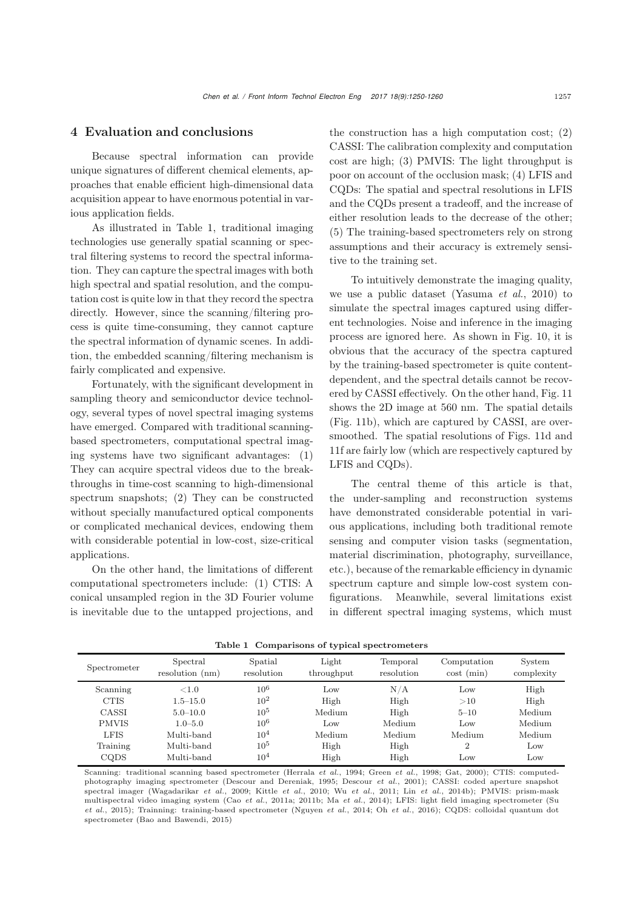## 4 Evaluation and conclusions

Because spectral information can provide unique signatures of different chemical elements, approaches that enable efficient high-dimensional data acquisition appear to have enormous potential in various application fields.

As illustrated in Table [1,](#page-7-0) traditional imaging technologies use generally spatial scanning or spectral filtering systems to record the spectral information. They can capture the spectral images with both high spectral and spatial resolution, and the computation cost is quite low in that they record the spectra directly. However, since the scanning/filtering process is quite time-consuming, they cannot capture the spectral information of dynamic scenes. In addition, the embedded scanning/filtering mechanism is fairly complicated and expensive.

Fortunately, with the significant development in sampling theory and semiconductor device technology, several types of novel spectral imaging systems have emerged. Compared with traditional scanningbased spectrometers, computational spectral imaging systems have two significant advantages: (1) They can acquire spectral videos due to the breakthroughs in time-cost scanning to high-dimensional spectrum snapshots; (2) They can be constructed without specially manufactured optical components or complicated mechanical devices, endowing them with considerable potential in low-cost, size-critical applications.

On the other hand, the limitations of different computational spectrometers include: (1) CTIS: A conical unsampled region in the 3D Fourier volume is inevitable due to the untapped projections, and the construction has a high computation cost; (2) CASSI: The calibration complexity and computation cost are high; (3) PMVIS: The light throughput is poor on account of the occlusion mask; (4) LFIS and CQDs: The spatial and spectral resolutions in LFIS and the CQDs present a tradeoff, and the increase of either resolution leads to the decrease of the other; (5) The training-based spectrometers rely on strong assumptions and their accuracy is extremely sensitive to the training set.

To intuitively demonstrate the imaging quality, we use a public dataset [\(Yasuma](#page-10-14) *et al.*, [2010\)](#page-10-14) to simulate the spectral images captured using different technologies. Noise and inference in the imaging process are ignored here. As shown in Fig. [10,](#page-8-3) it is obvious that the accuracy of the spectra captured by the training-based spectrometer is quite contentdependent, and the spectral details cannot be recovered by CASSI effectively. On the other hand, Fig. [11](#page-8-4) shows the 2D image at 560 nm. The spatial details (Fig. [11b](#page-8-4)), which are captured by CASSI, are oversmoothed. The spatial resolutions of Figs. [11d](#page-8-4) and [11f](#page-8-4) are fairly low (which are respectively captured by LFIS and CQDs).

The central theme of this article is that, the under-sampling and reconstruction systems have demonstrated considerable potential in various applications, including both traditional remote sensing and computer vision tasks (segmentation, material discrimination, photography, surveillance, etc.), because of the remarkable efficiency in dynamic spectrum capture and simple low-cost system configurations. Meanwhile, several limitations exist in different spectral imaging systems, which must

| Spectrometer | Spectral<br>resolution (nm) | Spatial<br>resolution | Light<br>throughput | Temporal<br>resolution | Computation<br>$\cot(min)$ | System<br>complexity |
|--------------|-----------------------------|-----------------------|---------------------|------------------------|----------------------------|----------------------|
| Scanning     | ${<}1.0$                    | $10^{6}$              | Low                 | N/A                    | Low                        | High                 |
| <b>CTIS</b>  | $1.5 - 15.0$                | $10^{2}$              | High                | High                   | >10                        | High                 |
| CASSI        | $5.0 - 10.0$                | $10^{5}$              | Medium              | High                   | $5 - 10$                   | Medium               |
| <b>PMVIS</b> | $1.0 - 5.0$                 | $10^{6}$              | Low                 | Medium                 | Low                        | Medium               |
| <b>LFIS</b>  | Multi-band                  | 10 <sup>4</sup>       | Medium              | Medium                 | Medium                     | Medium               |
| Training     | Multi-band                  | $10^{5}$              | High                | High                   | $\overline{2}$             | Low                  |
| CQDS         | Multi-band                  | $10^{4}$              | High                | High                   | Low                        | Low                  |

<span id="page-7-0"></span>Table 1 Comparisons of typical spectrometers

Scanning: traditional scanning based spectrometer [\(Herrala](#page-9-6) *et al.*, [1994;](#page-9-6) [Green](#page-9-7) *et al.*, [1998;](#page-9-7) [Gat, 2000](#page-9-8)); CTIS: computedphotography imaging spectrometer [\(Descour and Dereniak, 1995;](#page-9-9) [Descour](#page-9-10) *et al.*, [2001](#page-9-10)); CASSI: coded aperture snapshot spectral imager [\(Wagadarikar](#page-10-2) *et al.*, [2009](#page-10-2); [Kittle](#page-9-11) *et al.*, [2010;](#page-9-11) Wu *[et al.](#page-10-3)*, [2011](#page-10-3); Lin *[et al.](#page-9-12)*, [2014b](#page-9-12)); PMVIS: prism-mask multispectral video imaging system (Cao *[et al.](#page-9-13)*, [2011a](#page-9-13); [2011b](#page-9-14); Ma *[et al.](#page-9-15)*[,](#page-10-4) [2014](#page-9-15)[\);](#page-10-4) [LFIS:](#page-10-4) [light](#page-10-4) [field](#page-10-4) [imaging](#page-10-4) [spectrometer](#page-10-4) [\(](#page-10-4)Su *et al.*, [2015\)](#page-10-4); Trainning: training-based spectrometer [\(Nguyen](#page-10-5) *et al.*, [2014;](#page-10-5) Oh *[et al.](#page-10-6)*, [2016\)](#page-10-6); CQDS: colloidal quantum dot spectrometer [\(Bao and Bawendi, 2015](#page-9-16))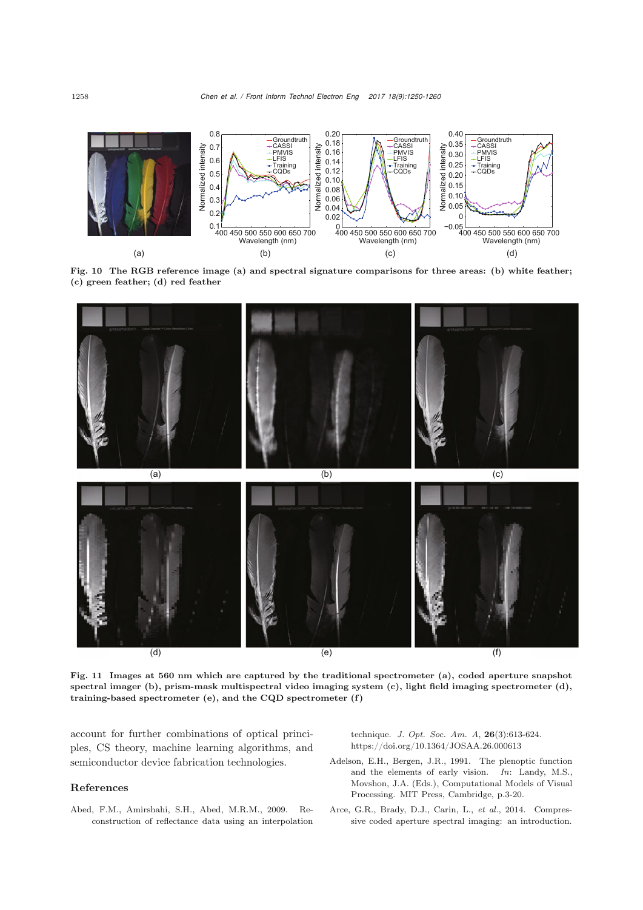

<span id="page-8-3"></span>Fig. 10 The RGB reference image (a) and spectral signature comparisons for three areas: (b) white feather; (c) green feather; (d) red feather



<span id="page-8-4"></span>Fig. 11 Images at 560 nm which are captured by the traditional spectrometer (a), coded aperture snapshot spectral imager (b), prism-mask multispectral video imaging system (c), light field imaging spectrometer (d), training-based spectrometer (e), and the CQD spectrometer (f )

account for further combinations of optical principles, CS theory, machine learning algorithms, and semiconductor device fabrication technologies.

#### References

<span id="page-8-2"></span>Abed, F.M., Amirshahi, S.H., Abed, M.R.M., 2009. Reconstruction of reflectance data using an interpolation technique. *J. Opt. Soc. Am. A*, 26(3):613-624. https://doi.org/10.1364/JOSAA.26.000613

- <span id="page-8-1"></span>Adelson, E.H., Bergen, J.R., 1991. The plenoptic function and the elements of early vision. *In*: Landy, M.S., Movshon, J.A. (Eds.), Computational Models of Visual Processing. MIT Press, Cambridge, p.3-20.
- <span id="page-8-0"></span>Arce, G.R., Brady, D.J., Carin, L., *et al.*, 2014. Compressive coded aperture spectral imaging: an introduction.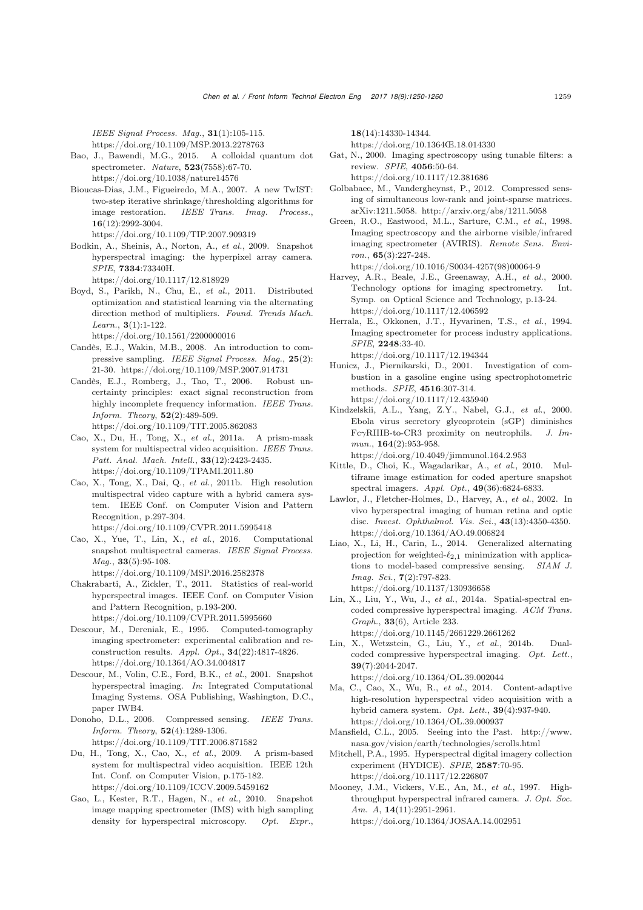*IEEE Signal Process. Mag.*, 31(1):105-115. https://doi.org/10.1109/MSP.2013.2278763

- <span id="page-9-16"></span>Bao, J., Bawendi, M.G., 2015. A colloidal quantum dot spectrometer. *Nature*, 523(7558):67-70. https://doi.org/10.1038/nature14576
- <span id="page-9-24"></span>Bioucas-Dias, J.M., Figueiredo, M.A., 2007. A new TwIST: two-step iterative shrinkage/thresholding algorithms for image restoration. *IEEE Trans. Imag. Process.*, 16(12):2992-3004. https://doi.org/10.1109/TIP.2007.909319
- <span id="page-9-28"></span>Bodkin, A., Sheinis, A., Norton, A., *et al.*, 2009. Snapshot hyperspectral imaging: the hyperpixel array camera. *SPIE*, 7334:73340H.
	- https://doi.org/10.1117/12.818929
- <span id="page-9-25"></span>Boyd, S., Parikh, N., Chu, E., *et al.*, 2011. Distributed optimization and statistical learning via the alternating direction method of multipliers. *Found. Trends Mach. Learn.*, 3(1):1-122.

https://doi.org/10.1561/2200000016

- <span id="page-9-19"></span>Candès, E.J., Wakin, M.B., 2008. An introduction to compressive sampling. *IEEE Signal Process. Mag.*, 25(2): 21-30. https://doi.org/10.1109/MSP.2007.914731
- <span id="page-9-20"></span>Candès, E.J., Romberg, J., Tao, T., 2006. Robust uncertainty principles: exact signal reconstruction from highly incomplete frequency information. *IEEE Trans. Inform. Theory*, 52(2):489-509. https://doi.org/10.1109/TIT.2005.862083
- <span id="page-9-13"></span>Cao, X., Du, H., Tong, X., *et al.*, 2011a. A prism-mask system for multispectral video acquisition. *IEEE Trans. Patt. Anal. Mach. Intell.*, 33(12):2423-2435. https://doi.org/10.1109/TPAMI.2011.80
- <span id="page-9-14"></span>Cao, X., Tong, X., Dai, Q., *et al.*, 2011b. High resolution multispectral video capture with a hybrid camera system. IEEE Conf. on Computer Vision and Pattern Recognition, p.297-304. https://doi.org/10.1109/CVPR.2011.5995418
- <span id="page-9-21"></span>Cao, X., Yue, T., Lin, X., *et al.*, 2016. Computational snapshot multispectral cameras. *IEEE Signal Process. Mag.*, 33(5):95-108.
- https://doi.org/10.1109/MSP.2016.2582378
- <span id="page-9-30"></span>Chakrabarti, A., Zickler, T., 2011. Statistics of real-world hyperspectral images. IEEE Conf. on Computer Vision and Pattern Recognition, p.193-200. https://doi.org/10.1109/CVPR.2011.5995660
- <span id="page-9-9"></span>Descour, M., Dereniak, E., 1995. Computed-tomography imaging spectrometer: experimental calibration and reconstruction results. *Appl. Opt.*, 34(22):4817-4826. https://doi.org/10.1364/AO.34.004817
- <span id="page-9-10"></span>Descour, M., Volin, C.E., Ford, B.K., *et al.*, 2001. Snapshot hyperspectral imaging. *In*: Integrated Computational Imaging Systems. OSA Publishing, Washington, D.C., paper IWB4.
- <span id="page-9-18"></span>Donoho, D.L., 2006. Compressed sensing. *IEEE Trans. Inform. Theory*, 52(4):1289-1306. https://doi.org/10.1109/TIT.2006.871582
- <span id="page-9-0"></span>Du, H., Tong, X., Cao, X., *et al.*, 2009. A prism-based system for multispectral video acquisition. IEEE 12th Int. Conf. on Computer Vision, p.175-182. https://doi.org/10.1109/ICCV.2009.5459162
- <span id="page-9-29"></span>Gao, L., Kester, R.T., Hagen, N., *et al.*, 2010. Snapshot image mapping spectrometer (IMS) with high sampling density for hyperspectral microscopy. *Opt. Expr.*,

18(14):14330-14344.

https://doi.org/10.1364Œ.18.014330

- <span id="page-9-8"></span>Gat, N., 2000. Imaging spectroscopy using tunable filters: a review. *SPIE*, 4056:50-64.
- <span id="page-9-23"></span>https://doi.org/10.1117/12.381686 Golbabaee, M., Vandergheynst, P., 2012. Compressed sensing of simultaneous low-rank and joint-sparse matrices.
- <span id="page-9-7"></span>arXiv:1211.5058. http://arxiv.org/abs/1211.5058 Green, R.O., Eastwood, M.L., Sarture, C.M., *et al.*, 1998. Imaging spectroscopy and the airborne visible/infrared imaging spectrometer (AVIRIS). *Remote Sens. Environ.*, 65(3):227-248.

https://doi.org/10.1016/S0034-4257(98)00064-9

- <span id="page-9-4"></span>Harvey, A.R., Beale, J.E., Greenaway, A.H., *et al.*, 2000. Technology options for imaging spectrometry. Int. Symp. on Optical Science and Technology, p.13-24. https://doi.org/10.1117/12.406592
- <span id="page-9-6"></span>Herrala, E., Okkonen, J.T., Hyvarinen, T.S., *et al.*, 1994. Imaging spectrometer for process industry applications. *SPIE*, 2248:33-40. https://doi.org/10.1117/12.194344
- <span id="page-9-2"></span>Hunicz, J., Piernikarski, D., 2001. Investigation of combustion in a gasoline engine using spectrophotometric methods. *SPIE*, 4516:307-314. https://doi.org/10.1117/12.435940
- <span id="page-9-3"></span>Kindzelskii, A.L., Yang, Z.Y., Nabel, G.J., *et al.*, 2000. Ebola virus secretory glycoprotein (sGP) diminishes FcγRIIIB-to-CR3 proximity on neutrophils. *J. Immun.*, 164(2):953-958.

https://doi.org/10.4049/jimmunol.164.2.953

- <span id="page-9-11"></span>Kittle, D., Choi, K., Wagadarikar, A., *et al.*, 2010. Multiframe image estimation for coded aperture snapshot spectral imagers. *Appl. Opt.*, 49(36):6824-6833.
- <span id="page-9-1"></span>Lawlor, J., Fletcher-Holmes, D., Harvey, A., *et al.*, 2002. In vivo hyperspectral imaging of human retina and optic disc. *Invest. Ophthalmol. Vis. Sci.*, 43(13):4350-4350. https://doi.org/10.1364/AO.49.006824
- <span id="page-9-26"></span>Liao, X., Li, H., Carin, L., 2014. Generalized alternating projection for weighted- $\ell_{2,1}$  minimization with applications to model-based compressive sensing. *SIAM J. Imag. Sci.*, 7(2):797-823. https://doi.org/10.1137/130936658
- <span id="page-9-27"></span>Lin, X., Liu, Y., Wu, J., *et al.*, 2014a. Spatial-spectral encoded compressive hyperspectral imaging. *ACM Trans. Graph.*, 33(6), Article 233. https://doi.org/10.1145/2661229.2661262
- <span id="page-9-12"></span>Lin, X., Wetzstein, G., Liu, Y., *et al.*, 2014b. Dualcoded compressive hyperspectral imaging. *Opt. Lett.*, 39(7):2044-2047. https://doi.org/10.1364/OL.39.002044
- <span id="page-9-15"></span>Ma, C., Cao, X., Wu, R., *et al.*, 2014. Content-adaptive high-resolution hyperspectral video acquisition with a hybrid camera system. *Opt. Lett.*, 39(4):937-940. https://doi.org/10.1364/OL.39.000937
- <span id="page-9-5"></span>Mansfield, C.L., 2005. Seeing into the Past. http://www. nasa.gov/vision/earth/technologies/scrolls.html
- <span id="page-9-17"></span>Mitchell, P.A., 1995. Hyperspectral digital imagery collection experiment (HYDICE). *SPIE*, 2587:70-95. https://doi.org/10.1117/12.226807
- <span id="page-9-22"></span>Mooney, J.M., Vickers, V.E., An, M., *et al.*, 1997. Highthroughput hyperspectral infrared camera. *J. Opt. Soc. Am. A*, 14(11):2951-2961. https://doi.org/10.1364/JOSAA.14.002951